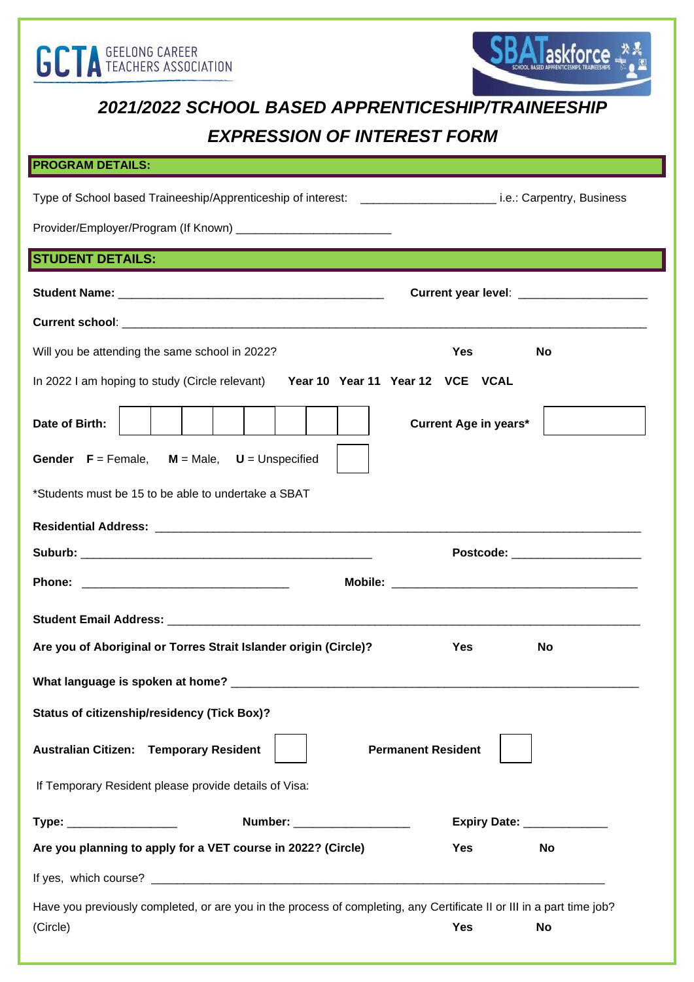



## *2021/2022 SCHOOL BASED APPRENTICESHIP/TRAINEESHIP EXPRESSION OF INTEREST FORM*

## **PROGRAM DETAILS:**

| Type of School based Traineeship/Apprenticeship of interest: ____________________________i.e.: Carpentry, Business    |                                         |  |  |
|-----------------------------------------------------------------------------------------------------------------------|-----------------------------------------|--|--|
|                                                                                                                       |                                         |  |  |
| <b>STUDENT DETAILS:</b>                                                                                               |                                         |  |  |
|                                                                                                                       | Current year level: ___________________ |  |  |
|                                                                                                                       |                                         |  |  |
| Will you be attending the same school in 2022?                                                                        | <b>Yes</b><br>No                        |  |  |
| In 2022 I am hoping to study (Circle relevant)<br>Year 10 Year 11 Year 12 VCE VCAL                                    |                                         |  |  |
| Date of Birth:                                                                                                        | <b>Current Age in years*</b>            |  |  |
| <b>Gender</b> $F =$ Female, $M =$ Male, $U =$ Unspecified                                                             |                                         |  |  |
| *Students must be 15 to be able to undertake a SBAT                                                                   |                                         |  |  |
|                                                                                                                       |                                         |  |  |
|                                                                                                                       | Postcode: ______________________        |  |  |
|                                                                                                                       |                                         |  |  |
|                                                                                                                       |                                         |  |  |
| Are you of Aboriginal or Torres Strait Islander origin (Circle)?                                                      | <b>Yes</b><br>No                        |  |  |
|                                                                                                                       |                                         |  |  |
| <b>Status of citizenship/residency (Tick Box)?</b>                                                                    |                                         |  |  |
| <b>Australian Citizen: Temporary Resident</b>                                                                         | <b>Permanent Resident</b>               |  |  |
| If Temporary Resident please provide details of Visa:                                                                 |                                         |  |  |
| Number: ______________________<br>Type: __________________                                                            | Expiry Date: ______________             |  |  |
| Are you planning to apply for a VET course in 2022? (Circle)                                                          | <b>Yes</b><br><b>No</b>                 |  |  |
|                                                                                                                       |                                         |  |  |
| Have you previously completed, or are you in the process of completing, any Certificate II or III in a part time job? |                                         |  |  |

(Circle) **Yes No**